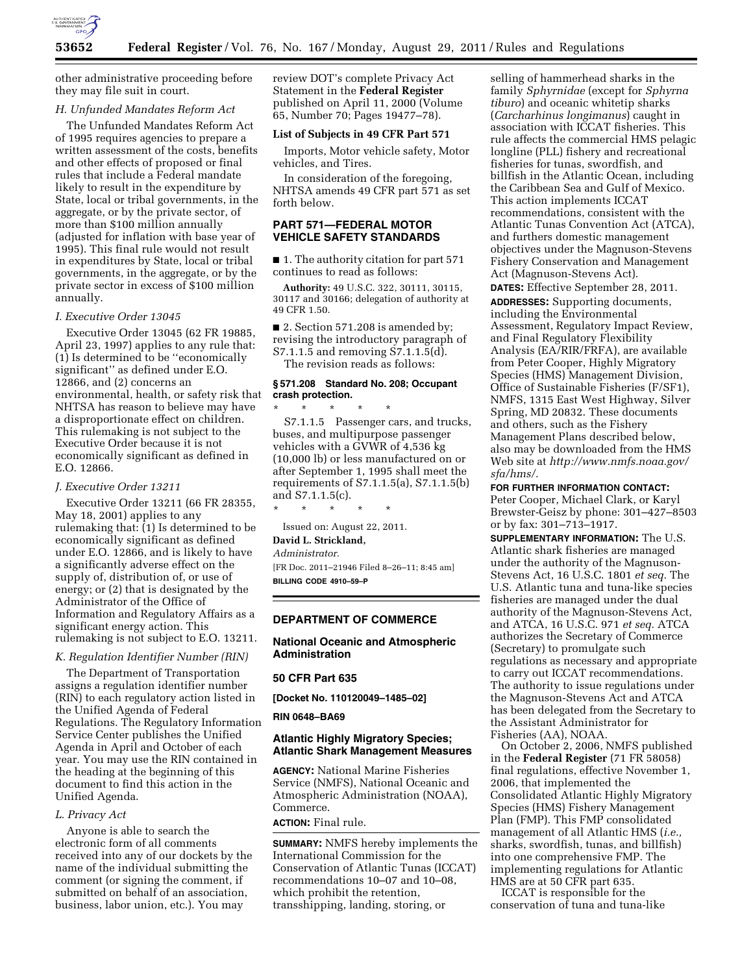

other administrative proceeding before they may file suit in court.

### *H. Unfunded Mandates Reform Act*

The Unfunded Mandates Reform Act of 1995 requires agencies to prepare a written assessment of the costs, benefits and other effects of proposed or final rules that include a Federal mandate likely to result in the expenditure by State, local or tribal governments, in the aggregate, or by the private sector, of more than \$100 million annually (adjusted for inflation with base year of 1995). This final rule would not result in expenditures by State, local or tribal governments, in the aggregate, or by the private sector in excess of \$100 million annually.

# *I. Executive Order 13045*

Executive Order 13045 (62 FR 19885, April 23, 1997) applies to any rule that: (1) Is determined to be ''economically significant'' as defined under E.O. 12866, and (2) concerns an environmental, health, or safety risk that NHTSA has reason to believe may have a disproportionate effect on children. This rulemaking is not subject to the Executive Order because it is not economically significant as defined in E.O. 12866.

### *J. Executive Order 13211*

Executive Order 13211 (66 FR 28355, May 18, 2001) applies to any rulemaking that: (1) Is determined to be economically significant as defined under E.O. 12866, and is likely to have a significantly adverse effect on the supply of, distribution of, or use of energy; or (2) that is designated by the Administrator of the Office of Information and Regulatory Affairs as a significant energy action. This rulemaking is not subject to E.O. 13211.

#### *K. Regulation Identifier Number (RIN)*

The Department of Transportation assigns a regulation identifier number (RIN) to each regulatory action listed in the Unified Agenda of Federal Regulations. The Regulatory Information Service Center publishes the Unified Agenda in April and October of each year. You may use the RIN contained in the heading at the beginning of this document to find this action in the Unified Agenda.

### *L. Privacy Act*

Anyone is able to search the electronic form of all comments received into any of our dockets by the name of the individual submitting the comment (or signing the comment, if submitted on behalf of an association, business, labor union, etc.). You may

review DOT's complete Privacy Act Statement in the **Federal Register**  published on April 11, 2000 (Volume 65, Number 70; Pages 19477–78).

# **List of Subjects in 49 CFR Part 571**

Imports, Motor vehicle safety, Motor vehicles, and Tires.

In consideration of the foregoing, NHTSA amends 49 CFR part 571 as set forth below.

### **PART 571—FEDERAL MOTOR VEHICLE SAFETY STANDARDS**

■ 1. The authority citation for part 571 continues to read as follows:

**Authority:** 49 U.S.C. 322, 30111, 30115, 30117 and 30166; delegation of authority at 49 CFR 1.50.

■ 2. Section 571.208 is amended by; revising the introductory paragraph of S7.1.1.5 and removing S7.1.1.5(d). The revision reads as follows:

# **§ 571.208 Standard No. 208; Occupant crash protection.**

\* \* \* \* \* S7.1.1.5 Passenger cars, and trucks, buses, and multipurpose passenger vehicles with a GVWR of 4,536 kg (10,000 lb) or less manufactured on or after September 1, 1995 shall meet the requirements of S7.1.1.5(a), S7.1.1.5(b) and S7.1.1.5(c).

\* \* \* \* \* Issued on: August 22, 2011.

**David L. Strickland,** 

*Administrator.* 

[FR Doc. 2011–21946 Filed 8–26–11; 8:45 am] **BILLING CODE 4910–59–P** 

### **DEPARTMENT OF COMMERCE**

### **National Oceanic and Atmospheric Administration**

#### **50 CFR Part 635**

**[Docket No. 110120049–1485–02]** 

**RIN 0648–BA69** 

### **Atlantic Highly Migratory Species; Atlantic Shark Management Measures**

**AGENCY:** National Marine Fisheries Service (NMFS), National Oceanic and Atmospheric Administration (NOAA), Commerce.

# **ACTION:** Final rule.

**SUMMARY:** NMFS hereby implements the International Commission for the Conservation of Atlantic Tunas (ICCAT) recommendations 10–07 and 10–08, which prohibit the retention, transshipping, landing, storing, or

selling of hammerhead sharks in the family *Sphyrnidae* (except for *Sphyrna tiburo*) and oceanic whitetip sharks (*Carcharhinus longimanus*) caught in association with ICCAT fisheries. This rule affects the commercial HMS pelagic longline (PLL) fishery and recreational fisheries for tunas, swordfish, and billfish in the Atlantic Ocean, including the Caribbean Sea and Gulf of Mexico. This action implements ICCAT recommendations, consistent with the Atlantic Tunas Convention Act (ATCA), and furthers domestic management objectives under the Magnuson-Stevens Fishery Conservation and Management Act (Magnuson-Stevens Act).

**DATES:** Effective September 28, 2011. **ADDRESSES:** Supporting documents, including the Environmental Assessment, Regulatory Impact Review, and Final Regulatory Flexibility Analysis (EA/RIR/FRFA), are available from Peter Cooper, Highly Migratory Species (HMS) Management Division, Office of Sustainable Fisheries (F/SF1), NMFS, 1315 East West Highway, Silver Spring, MD 20832. These documents and others, such as the Fishery Management Plans described below, also may be downloaded from the HMS Web site at *[http://www.nmfs.noaa.gov/](http://www.nmfs.noaa.gov/sfa/hms/) [sfa/hms/.](http://www.nmfs.noaa.gov/sfa/hms/)* 

**FOR FURTHER INFORMATION CONTACT:**  Peter Cooper, Michael Clark, or Karyl Brewster-Geisz by phone: 301–427–8503 or by fax: 301–713–1917.

**SUPPLEMENTARY INFORMATION:** The U.S. Atlantic shark fisheries are managed under the authority of the Magnuson-Stevens Act, 16 U.S.C. 1801 *et seq.* The U.S. Atlantic tuna and tuna-like species fisheries are managed under the dual authority of the Magnuson-Stevens Act, and ATCA, 16 U.S.C. 971 *et seq.* ATCA authorizes the Secretary of Commerce (Secretary) to promulgate such regulations as necessary and appropriate to carry out ICCAT recommendations. The authority to issue regulations under the Magnuson-Stevens Act and ATCA has been delegated from the Secretary to the Assistant Administrator for Fisheries (AA), NOAA.

On October 2, 2006, NMFS published in the **Federal Register** (71 FR 58058) final regulations, effective November 1, 2006, that implemented the Consolidated Atlantic Highly Migratory Species (HMS) Fishery Management Plan (FMP). This FMP consolidated management of all Atlantic HMS (*i.e.,*  sharks, swordfish, tunas, and billfish) into one comprehensive FMP. The implementing regulations for Atlantic HMS are at 50 CFR part 635.

ICCAT is responsible for the conservation of tuna and tuna-like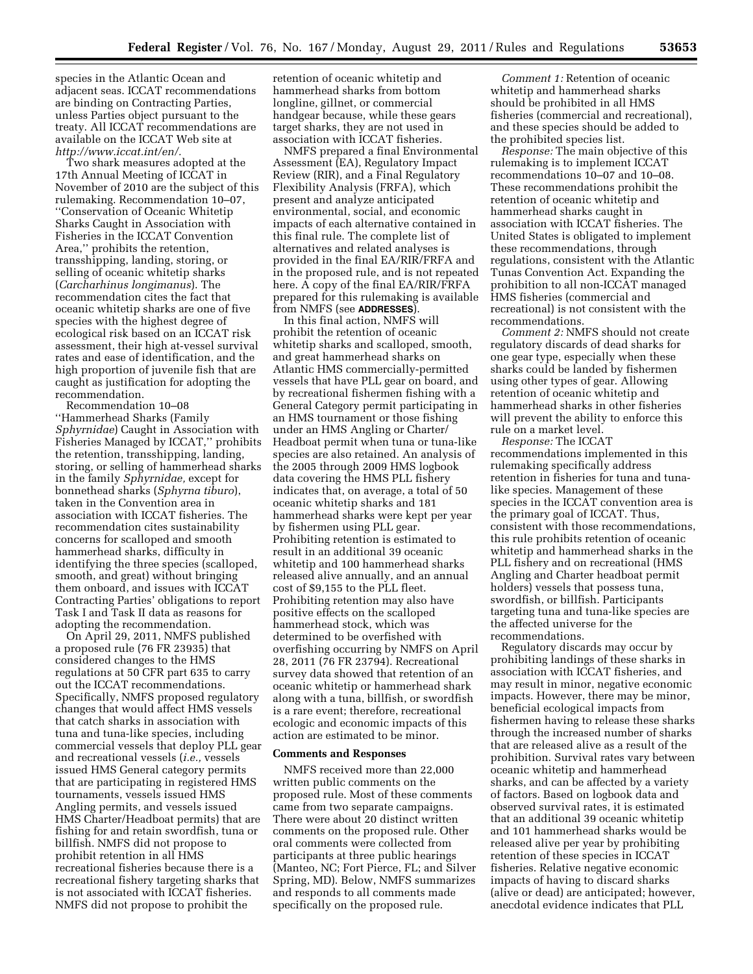species in the Atlantic Ocean and adjacent seas. ICCAT recommendations are binding on Contracting Parties, unless Parties object pursuant to the treaty. All ICCAT recommendations are available on the ICCAT Web site at *[http://www.iccat.int/en/.](http://www.iccat.int/en/)* 

Two shark measures adopted at the 17th Annual Meeting of ICCAT in November of 2010 are the subject of this rulemaking. Recommendation 10–07, ''Conservation of Oceanic Whitetip Sharks Caught in Association with Fisheries in the ICCAT Convention Area,'' prohibits the retention, transshipping, landing, storing, or selling of oceanic whitetip sharks (*Carcharhinus longimanus*). The recommendation cites the fact that oceanic whitetip sharks are one of five species with the highest degree of ecological risk based on an ICCAT risk assessment, their high at-vessel survival rates and ease of identification, and the high proportion of juvenile fish that are caught as justification for adopting the recommendation.

Recommendation 10–08 ''Hammerhead Sharks (Family *Sphyrnidae*) Caught in Association with Fisheries Managed by ICCAT,'' prohibits the retention, transshipping, landing, storing, or selling of hammerhead sharks in the family *Sphyrnidae,* except for bonnethead sharks (*Sphyrna tiburo*), taken in the Convention area in association with ICCAT fisheries. The recommendation cites sustainability concerns for scalloped and smooth hammerhead sharks, difficulty in identifying the three species (scalloped, smooth, and great) without bringing them onboard, and issues with ICCAT Contracting Parties' obligations to report Task I and Task II data as reasons for adopting the recommendation.

On April 29, 2011, NMFS published a proposed rule (76 FR 23935) that considered changes to the HMS regulations at 50 CFR part 635 to carry out the ICCAT recommendations. Specifically, NMFS proposed regulatory changes that would affect HMS vessels that catch sharks in association with tuna and tuna-like species, including commercial vessels that deploy PLL gear and recreational vessels (*i.e.,* vessels issued HMS General category permits that are participating in registered HMS tournaments, vessels issued HMS Angling permits, and vessels issued HMS Charter/Headboat permits) that are fishing for and retain swordfish, tuna or billfish. NMFS did not propose to prohibit retention in all HMS recreational fisheries because there is a recreational fishery targeting sharks that is not associated with ICCAT fisheries. NMFS did not propose to prohibit the

retention of oceanic whitetip and hammerhead sharks from bottom longline, gillnet, or commercial handgear because, while these gears target sharks, they are not used in association with ICCAT fisheries.

NMFS prepared a final Environmental Assessment (EA), Regulatory Impact Review (RIR), and a Final Regulatory Flexibility Analysis (FRFA), which present and analyze anticipated environmental, social, and economic impacts of each alternative contained in this final rule. The complete list of alternatives and related analyses is provided in the final EA/RIR/FRFA and in the proposed rule, and is not repeated here. A copy of the final EA/RIR/FRFA prepared for this rulemaking is available from NMFS (see **ADDRESSES**).

In this final action, NMFS will prohibit the retention of oceanic whitetip sharks and scalloped, smooth, and great hammerhead sharks on Atlantic HMS commercially-permitted vessels that have PLL gear on board, and by recreational fishermen fishing with a General Category permit participating in an HMS tournament or those fishing under an HMS Angling or Charter/ Headboat permit when tuna or tuna-like species are also retained. An analysis of the 2005 through 2009 HMS logbook data covering the HMS PLL fishery indicates that, on average, a total of 50 oceanic whitetip sharks and 181 hammerhead sharks were kept per year by fishermen using PLL gear. Prohibiting retention is estimated to result in an additional 39 oceanic whitetip and 100 hammerhead sharks released alive annually, and an annual cost of \$9,155 to the PLL fleet. Prohibiting retention may also have positive effects on the scalloped hammerhead stock, which was determined to be overfished with overfishing occurring by NMFS on April 28, 2011 (76 FR 23794). Recreational survey data showed that retention of an oceanic whitetip or hammerhead shark along with a tuna, billfish, or swordfish is a rare event; therefore, recreational ecologic and economic impacts of this action are estimated to be minor.

#### **Comments and Responses**

NMFS received more than 22,000 written public comments on the proposed rule. Most of these comments came from two separate campaigns. There were about 20 distinct written comments on the proposed rule. Other oral comments were collected from participants at three public hearings (Manteo, NC; Fort Pierce, FL; and Silver Spring, MD). Below, NMFS summarizes and responds to all comments made specifically on the proposed rule.

*Comment 1:* Retention of oceanic whitetip and hammerhead sharks should be prohibited in all HMS fisheries (commercial and recreational), and these species should be added to the prohibited species list.

*Response:* The main objective of this rulemaking is to implement ICCAT recommendations 10–07 and 10–08. These recommendations prohibit the retention of oceanic whitetip and hammerhead sharks caught in association with ICCAT fisheries. The United States is obligated to implement these recommendations, through regulations, consistent with the Atlantic Tunas Convention Act. Expanding the prohibition to all non-ICCAT managed HMS fisheries (commercial and recreational) is not consistent with the recommendations.

*Comment 2:* NMFS should not create regulatory discards of dead sharks for one gear type, especially when these sharks could be landed by fishermen using other types of gear. Allowing retention of oceanic whitetip and hammerhead sharks in other fisheries will prevent the ability to enforce this rule on a market level.

*Response:* The ICCAT recommendations implemented in this rulemaking specifically address retention in fisheries for tuna and tunalike species. Management of these species in the ICCAT convention area is the primary goal of ICCAT. Thus, consistent with those recommendations, this rule prohibits retention of oceanic whitetip and hammerhead sharks in the PLL fishery and on recreational (HMS Angling and Charter headboat permit holders) vessels that possess tuna, swordfish, or billfish. Participants targeting tuna and tuna-like species are the affected universe for the recommendations.

Regulatory discards may occur by prohibiting landings of these sharks in association with ICCAT fisheries, and may result in minor, negative economic impacts. However, there may be minor, beneficial ecological impacts from fishermen having to release these sharks through the increased number of sharks that are released alive as a result of the prohibition. Survival rates vary between oceanic whitetip and hammerhead sharks, and can be affected by a variety of factors. Based on logbook data and observed survival rates, it is estimated that an additional 39 oceanic whitetip and 101 hammerhead sharks would be released alive per year by prohibiting retention of these species in ICCAT fisheries. Relative negative economic impacts of having to discard sharks (alive or dead) are anticipated; however, anecdotal evidence indicates that PLL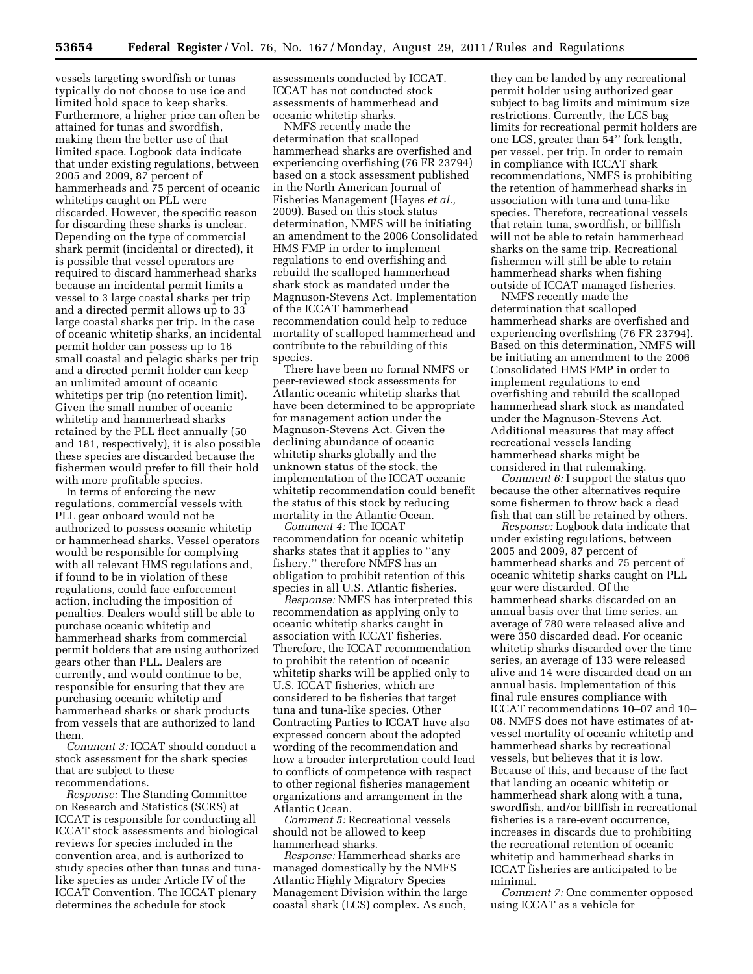vessels targeting swordfish or tunas typically do not choose to use ice and limited hold space to keep sharks. Furthermore, a higher price can often be attained for tunas and swordfish, making them the better use of that limited space. Logbook data indicate that under existing regulations, between 2005 and 2009, 87 percent of hammerheads and 75 percent of oceanic whitetips caught on PLL were discarded. However, the specific reason for discarding these sharks is unclear. Depending on the type of commercial shark permit (incidental or directed), it is possible that vessel operators are required to discard hammerhead sharks because an incidental permit limits a vessel to 3 large coastal sharks per trip and a directed permit allows up to 33 large coastal sharks per trip. In the case of oceanic whitetip sharks, an incidental permit holder can possess up to 16 small coastal and pelagic sharks per trip and a directed permit holder can keep an unlimited amount of oceanic whitetips per trip (no retention limit). Given the small number of oceanic whitetip and hammerhead sharks retained by the PLL fleet annually (50 and 181, respectively), it is also possible these species are discarded because the fishermen would prefer to fill their hold with more profitable species.

In terms of enforcing the new regulations, commercial vessels with PLL gear onboard would not be authorized to possess oceanic whitetip or hammerhead sharks. Vessel operators would be responsible for complying with all relevant HMS regulations and, if found to be in violation of these regulations, could face enforcement action, including the imposition of penalties. Dealers would still be able to purchase oceanic whitetip and hammerhead sharks from commercial permit holders that are using authorized gears other than PLL. Dealers are currently, and would continue to be, responsible for ensuring that they are purchasing oceanic whitetip and hammerhead sharks or shark products from vessels that are authorized to land them.

*Comment 3:* ICCAT should conduct a stock assessment for the shark species that are subject to these recommendations.

*Response:* The Standing Committee on Research and Statistics (SCRS) at ICCAT is responsible for conducting all ICCAT stock assessments and biological reviews for species included in the convention area, and is authorized to study species other than tunas and tunalike species as under Article IV of the ICCAT Convention. The ICCAT plenary determines the schedule for stock

assessments conducted by ICCAT. ICCAT has not conducted stock assessments of hammerhead and oceanic whitetip sharks.

NMFS recently made the determination that scalloped hammerhead sharks are overfished and experiencing overfishing (76 FR 23794) based on a stock assessment published in the North American Journal of Fisheries Management (Hayes *et al.,*  2009). Based on this stock status determination, NMFS will be initiating an amendment to the 2006 Consolidated HMS FMP in order to implement regulations to end overfishing and rebuild the scalloped hammerhead shark stock as mandated under the Magnuson-Stevens Act. Implementation of the ICCAT hammerhead recommendation could help to reduce mortality of scalloped hammerhead and contribute to the rebuilding of this species.

There have been no formal NMFS or peer-reviewed stock assessments for Atlantic oceanic whitetip sharks that have been determined to be appropriate for management action under the Magnuson-Stevens Act. Given the declining abundance of oceanic whitetip sharks globally and the unknown status of the stock, the implementation of the ICCAT oceanic whitetip recommendation could benefit the status of this stock by reducing mortality in the Atlantic Ocean.

*Comment 4:* The ICCAT recommendation for oceanic whitetip sharks states that it applies to ''any fishery,'' therefore NMFS has an obligation to prohibit retention of this species in all U.S. Atlantic fisheries.

*Response:* NMFS has interpreted this recommendation as applying only to oceanic whitetip sharks caught in association with ICCAT fisheries. Therefore, the ICCAT recommendation to prohibit the retention of oceanic whitetip sharks will be applied only to U.S. ICCAT fisheries, which are considered to be fisheries that target tuna and tuna-like species. Other Contracting Parties to ICCAT have also expressed concern about the adopted wording of the recommendation and how a broader interpretation could lead to conflicts of competence with respect to other regional fisheries management organizations and arrangement in the Atlantic Ocean.

*Comment 5:* Recreational vessels should not be allowed to keep hammerhead sharks.

*Response:* Hammerhead sharks are managed domestically by the NMFS Atlantic Highly Migratory Species Management Division within the large coastal shark (LCS) complex. As such,

they can be landed by any recreational permit holder using authorized gear subject to bag limits and minimum size restrictions. Currently, the LCS bag limits for recreational permit holders are one LCS, greater than 54'' fork length, per vessel, per trip. In order to remain in compliance with ICCAT shark recommendations, NMFS is prohibiting the retention of hammerhead sharks in association with tuna and tuna-like species. Therefore, recreational vessels that retain tuna, swordfish, or billfish will not be able to retain hammerhead sharks on the same trip. Recreational fishermen will still be able to retain hammerhead sharks when fishing outside of ICCAT managed fisheries.

NMFS recently made the determination that scalloped hammerhead sharks are overfished and experiencing overfishing (76 FR 23794). Based on this determination, NMFS will be initiating an amendment to the 2006 Consolidated HMS FMP in order to implement regulations to end overfishing and rebuild the scalloped hammerhead shark stock as mandated under the Magnuson-Stevens Act. Additional measures that may affect recreational vessels landing hammerhead sharks might be considered in that rulemaking.

*Comment 6:* I support the status quo because the other alternatives require some fishermen to throw back a dead fish that can still be retained by others.

*Response:* Logbook data indicate that under existing regulations, between 2005 and 2009, 87 percent of hammerhead sharks and 75 percent of oceanic whitetip sharks caught on PLL gear were discarded. Of the hammerhead sharks discarded on an annual basis over that time series, an average of 780 were released alive and were 350 discarded dead. For oceanic whitetip sharks discarded over the time series, an average of 133 were released alive and 14 were discarded dead on an annual basis. Implementation of this final rule ensures compliance with ICCAT recommendations 10–07 and 10– 08. NMFS does not have estimates of atvessel mortality of oceanic whitetip and hammerhead sharks by recreational vessels, but believes that it is low. Because of this, and because of the fact that landing an oceanic whitetip or hammerhead shark along with a tuna, swordfish, and/or billfish in recreational fisheries is a rare-event occurrence, increases in discards due to prohibiting the recreational retention of oceanic whitetip and hammerhead sharks in ICCAT fisheries are anticipated to be minimal.

*Comment 7:* One commenter opposed using ICCAT as a vehicle for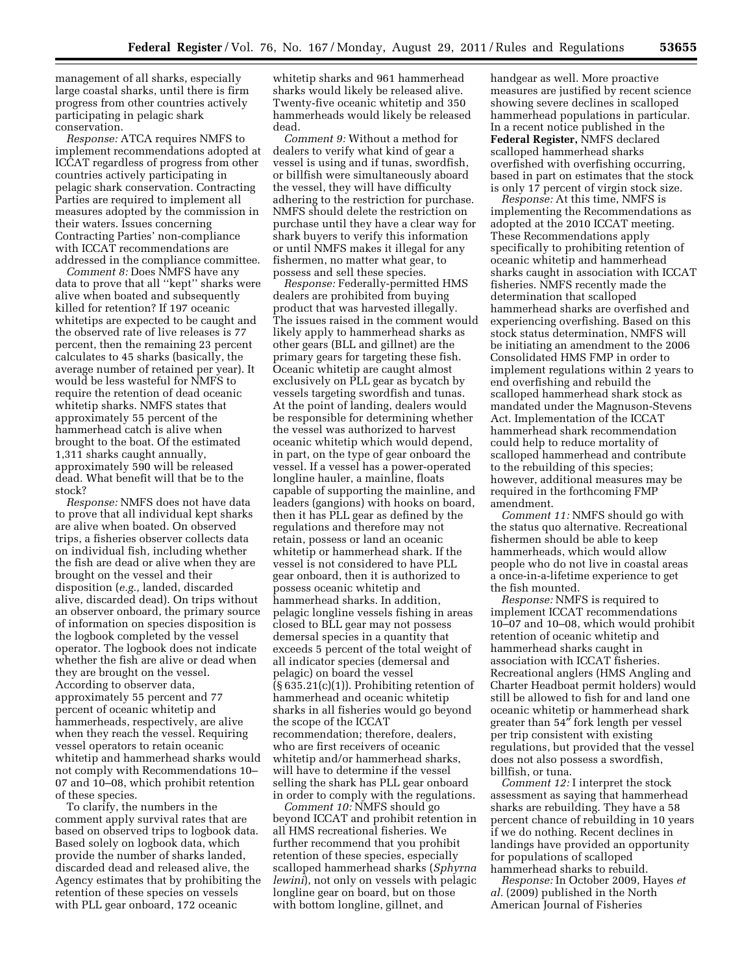management of all sharks, especially large coastal sharks, until there is firm progress from other countries actively participating in pelagic shark conservation.

*Response:* ATCA requires NMFS to implement recommendations adopted at ICCAT regardless of progress from other countries actively participating in pelagic shark conservation. Contracting Parties are required to implement all measures adopted by the commission in their waters. Issues concerning Contracting Parties' non-compliance with ICCAT recommendations are addressed in the compliance committee.

*Comment 8:* Does NMFS have any data to prove that all ''kept'' sharks were alive when boated and subsequently killed for retention? If 197 oceanic whitetips are expected to be caught and the observed rate of live releases is 77 percent, then the remaining 23 percent calculates to 45 sharks (basically, the average number of retained per year). It would be less wasteful for NMFS to require the retention of dead oceanic whitetip sharks. NMFS states that approximately 55 percent of the hammerhead catch is alive when brought to the boat. Of the estimated 1,311 sharks caught annually, approximately 590 will be released dead. What benefit will that be to the stock?

*Response:* NMFS does not have data to prove that all individual kept sharks are alive when boated. On observed trips, a fisheries observer collects data on individual fish, including whether the fish are dead or alive when they are brought on the vessel and their disposition (*e.g.,* landed, discarded alive, discarded dead). On trips without an observer onboard, the primary source of information on species disposition is the logbook completed by the vessel operator. The logbook does not indicate whether the fish are alive or dead when they are brought on the vessel. According to observer data, approximately 55 percent and 77 percent of oceanic whitetip and hammerheads, respectively, are alive when they reach the vessel. Requiring vessel operators to retain oceanic whitetip and hammerhead sharks would not comply with Recommendations 10– 07 and 10–08, which prohibit retention of these species.

To clarify, the numbers in the comment apply survival rates that are based on observed trips to logbook data. Based solely on logbook data, which provide the number of sharks landed, discarded dead and released alive, the Agency estimates that by prohibiting the retention of these species on vessels with PLL gear onboard, 172 oceanic

whitetip sharks and 961 hammerhead sharks would likely be released alive. Twenty-five oceanic whitetip and 350 hammerheads would likely be released dead.

*Comment 9:* Without a method for dealers to verify what kind of gear a vessel is using and if tunas, swordfish, or billfish were simultaneously aboard the vessel, they will have difficulty adhering to the restriction for purchase. NMFS should delete the restriction on purchase until they have a clear way for shark buyers to verify this information or until NMFS makes it illegal for any fishermen, no matter what gear, to possess and sell these species.

*Response:* Federally-permitted HMS dealers are prohibited from buying product that was harvested illegally. The issues raised in the comment would likely apply to hammerhead sharks as other gears (BLL and gillnet) are the primary gears for targeting these fish. Oceanic whitetip are caught almost exclusively on PLL gear as bycatch by vessels targeting swordfish and tunas. At the point of landing, dealers would be responsible for determining whether the vessel was authorized to harvest oceanic whitetip which would depend, in part, on the type of gear onboard the vessel. If a vessel has a power-operated longline hauler, a mainline, floats capable of supporting the mainline, and leaders (gangions) with hooks on board, then it has PLL gear as defined by the regulations and therefore may not retain, possess or land an oceanic whitetip or hammerhead shark. If the vessel is not considered to have PLL gear onboard, then it is authorized to possess oceanic whitetip and hammerhead sharks. In addition, pelagic longline vessels fishing in areas closed to BLL gear may not possess demersal species in a quantity that exceeds 5 percent of the total weight of all indicator species (demersal and pelagic) on board the vessel (§ 635.21(c)(1)). Prohibiting retention of hammerhead and oceanic whitetip sharks in all fisheries would go beyond the scope of the ICCAT recommendation; therefore, dealers, who are first receivers of oceanic whitetip and/or hammerhead sharks, will have to determine if the vessel selling the shark has PLL gear onboard in order to comply with the regulations.

*Comment 10:* NMFS should go beyond ICCAT and prohibit retention in all HMS recreational fisheries. We further recommend that you prohibit retention of these species, especially scalloped hammerhead sharks (*Sphyrna lewini*), not only on vessels with pelagic longline gear on board, but on those with bottom longline, gillnet, and

handgear as well. More proactive measures are justified by recent science showing severe declines in scalloped hammerhead populations in particular. In a recent notice published in the **Federal Register,** NMFS declared scalloped hammerhead sharks overfished with overfishing occurring, based in part on estimates that the stock is only 17 percent of virgin stock size.

*Response:* At this time, NMFS is implementing the Recommendations as adopted at the 2010 ICCAT meeting. These Recommendations apply specifically to prohibiting retention of oceanic whitetip and hammerhead sharks caught in association with ICCAT fisheries. NMFS recently made the determination that scalloped hammerhead sharks are overfished and experiencing overfishing. Based on this stock status determination, NMFS will be initiating an amendment to the 2006 Consolidated HMS FMP in order to implement regulations within 2 years to end overfishing and rebuild the scalloped hammerhead shark stock as mandated under the Magnuson-Stevens Act. Implementation of the ICCAT hammerhead shark recommendation could help to reduce mortality of scalloped hammerhead and contribute to the rebuilding of this species; however, additional measures may be required in the forthcoming FMP amendment.

*Comment 11:* NMFS should go with the status quo alternative. Recreational fishermen should be able to keep hammerheads, which would allow people who do not live in coastal areas a once-in-a-lifetime experience to get the fish mounted.

*Response:* NMFS is required to implement ICCAT recommendations 10–07 and 10–08, which would prohibit retention of oceanic whitetip and hammerhead sharks caught in association with ICCAT fisheries. Recreational anglers (HMS Angling and Charter Headboat permit holders) would still be allowed to fish for and land one oceanic whitetip or hammerhead shark greater than 54″ fork length per vessel per trip consistent with existing regulations, but provided that the vessel does not also possess a swordfish, billfish, or tuna.

*Comment 12:* I interpret the stock assessment as saying that hammerhead sharks are rebuilding. They have a 58 percent chance of rebuilding in 10 years if we do nothing. Recent declines in landings have provided an opportunity for populations of scalloped hammerhead sharks to rebuild.

*Response:* In October 2009, Hayes *et al.* (2009) published in the North American Journal of Fisheries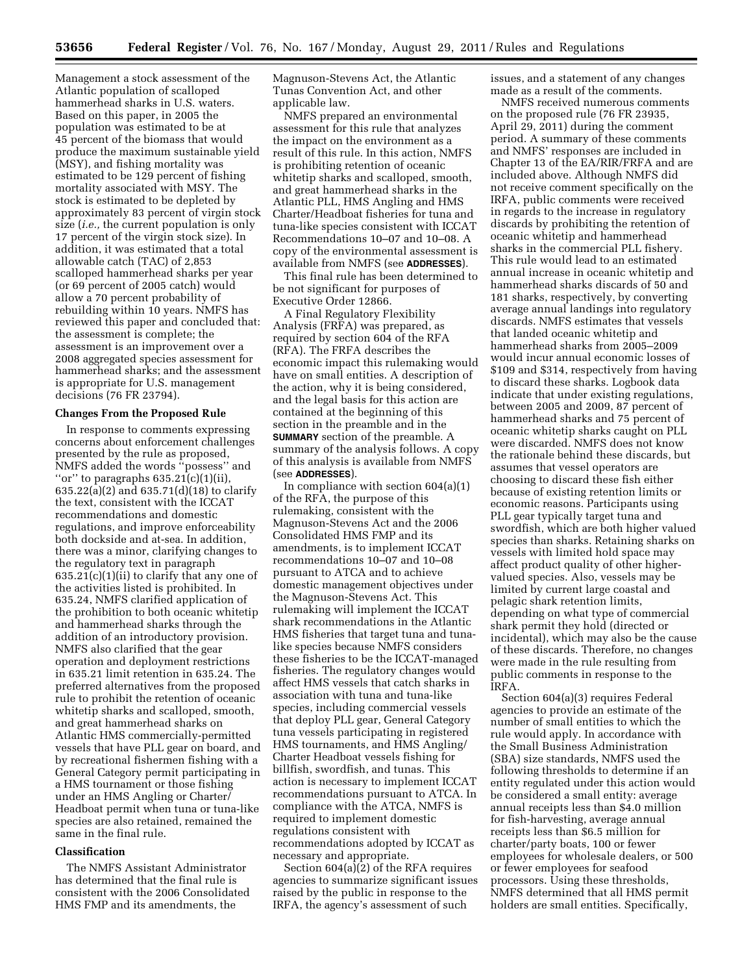Management a stock assessment of the Atlantic population of scalloped hammerhead sharks in U.S. waters. Based on this paper, in 2005 the population was estimated to be at 45 percent of the biomass that would produce the maximum sustainable yield (MSY), and fishing mortality was estimated to be 129 percent of fishing mortality associated with MSY. The stock is estimated to be depleted by approximately 83 percent of virgin stock size (*i.e.,* the current population is only 17 percent of the virgin stock size). In addition, it was estimated that a total allowable catch (TAC) of 2,853 scalloped hammerhead sharks per year (or 69 percent of 2005 catch) would allow a 70 percent probability of rebuilding within 10 years. NMFS has reviewed this paper and concluded that: the assessment is complete; the assessment is an improvement over a 2008 aggregated species assessment for hammerhead sharks; and the assessment is appropriate for U.S. management decisions (76 FR 23794).

### **Changes From the Proposed Rule**

In response to comments expressing concerns about enforcement challenges presented by the rule as proposed, NMFS added the words ''possess'' and "or" to paragraphs  $635.21(c)(1)(ii)$ , 635.22(a)(2) and 635.71(d)(18) to clarify the text, consistent with the ICCAT recommendations and domestic regulations, and improve enforceability both dockside and at-sea. In addition, there was a minor, clarifying changes to the regulatory text in paragraph 635.21(c)(1)(ii) to clarify that any one of the activities listed is prohibited. In 635.24, NMFS clarified application of the prohibition to both oceanic whitetip and hammerhead sharks through the addition of an introductory provision. NMFS also clarified that the gear operation and deployment restrictions in 635.21 limit retention in 635.24. The preferred alternatives from the proposed rule to prohibit the retention of oceanic whitetip sharks and scalloped, smooth, and great hammerhead sharks on Atlantic HMS commercially-permitted vessels that have PLL gear on board, and by recreational fishermen fishing with a General Category permit participating in a HMS tournament or those fishing under an HMS Angling or Charter/ Headboat permit when tuna or tuna-like species are also retained, remained the same in the final rule.

### **Classification**

The NMFS Assistant Administrator has determined that the final rule is consistent with the 2006 Consolidated HMS FMP and its amendments, the

Magnuson-Stevens Act, the Atlantic Tunas Convention Act, and other applicable law.

NMFS prepared an environmental assessment for this rule that analyzes the impact on the environment as a result of this rule. In this action, NMFS is prohibiting retention of oceanic whitetip sharks and scalloped, smooth, and great hammerhead sharks in the Atlantic PLL, HMS Angling and HMS Charter/Headboat fisheries for tuna and tuna-like species consistent with ICCAT Recommendations 10–07 and 10–08. A copy of the environmental assessment is available from NMFS (see **ADDRESSES**).

This final rule has been determined to be not significant for purposes of Executive Order 12866.

A Final Regulatory Flexibility Analysis (FRFA) was prepared, as required by section 604 of the RFA (RFA). The FRFA describes the economic impact this rulemaking would have on small entities. A description of the action, why it is being considered, and the legal basis for this action are contained at the beginning of this section in the preamble and in the **SUMMARY** section of the preamble. A summary of the analysis follows. A copy of this analysis is available from NMFS (see **ADDRESSES**).

In compliance with section  $604(a)(1)$ of the RFA, the purpose of this rulemaking, consistent with the Magnuson-Stevens Act and the 2006 Consolidated HMS FMP and its amendments, is to implement ICCAT recommendations 10–07 and 10–08 pursuant to ATCA and to achieve domestic management objectives under the Magnuson-Stevens Act. This rulemaking will implement the ICCAT shark recommendations in the Atlantic HMS fisheries that target tuna and tunalike species because NMFS considers these fisheries to be the ICCAT-managed fisheries. The regulatory changes would affect HMS vessels that catch sharks in association with tuna and tuna-like species, including commercial vessels that deploy PLL gear, General Category tuna vessels participating in registered HMS tournaments, and HMS Angling/ Charter Headboat vessels fishing for billfish, swordfish, and tunas. This action is necessary to implement ICCAT recommendations pursuant to ATCA. In compliance with the ATCA, NMFS is required to implement domestic regulations consistent with recommendations adopted by ICCAT as necessary and appropriate.

Section 604(a)(2) of the RFA requires agencies to summarize significant issues raised by the public in response to the IRFA, the agency's assessment of such

issues, and a statement of any changes made as a result of the comments.

NMFS received numerous comments on the proposed rule (76 FR 23935, April 29, 2011) during the comment period. A summary of these comments and NMFS' responses are included in Chapter 13 of the EA/RIR/FRFA and are included above. Although NMFS did not receive comment specifically on the IRFA, public comments were received in regards to the increase in regulatory discards by prohibiting the retention of oceanic whitetip and hammerhead sharks in the commercial PLL fishery. This rule would lead to an estimated annual increase in oceanic whitetip and hammerhead sharks discards of 50 and 181 sharks, respectively, by converting average annual landings into regulatory discards. NMFS estimates that vessels that landed oceanic whitetip and hammerhead sharks from 2005–2009 would incur annual economic losses of \$109 and \$314, respectively from having to discard these sharks. Logbook data indicate that under existing regulations, between 2005 and 2009, 87 percent of hammerhead sharks and 75 percent of oceanic whitetip sharks caught on PLL were discarded. NMFS does not know the rationale behind these discards, but assumes that vessel operators are choosing to discard these fish either because of existing retention limits or economic reasons. Participants using PLL gear typically target tuna and swordfish, which are both higher valued species than sharks. Retaining sharks on vessels with limited hold space may affect product quality of other highervalued species. Also, vessels may be limited by current large coastal and pelagic shark retention limits, depending on what type of commercial shark permit they hold (directed or incidental), which may also be the cause of these discards. Therefore, no changes were made in the rule resulting from public comments in response to the IRFA.

Section 604(a)(3) requires Federal agencies to provide an estimate of the number of small entities to which the rule would apply. In accordance with the Small Business Administration (SBA) size standards, NMFS used the following thresholds to determine if an entity regulated under this action would be considered a small entity: average annual receipts less than \$4.0 million for fish-harvesting, average annual receipts less than \$6.5 million for charter/party boats, 100 or fewer employees for wholesale dealers, or 500 or fewer employees for seafood processors. Using these thresholds, NMFS determined that all HMS permit holders are small entities. Specifically,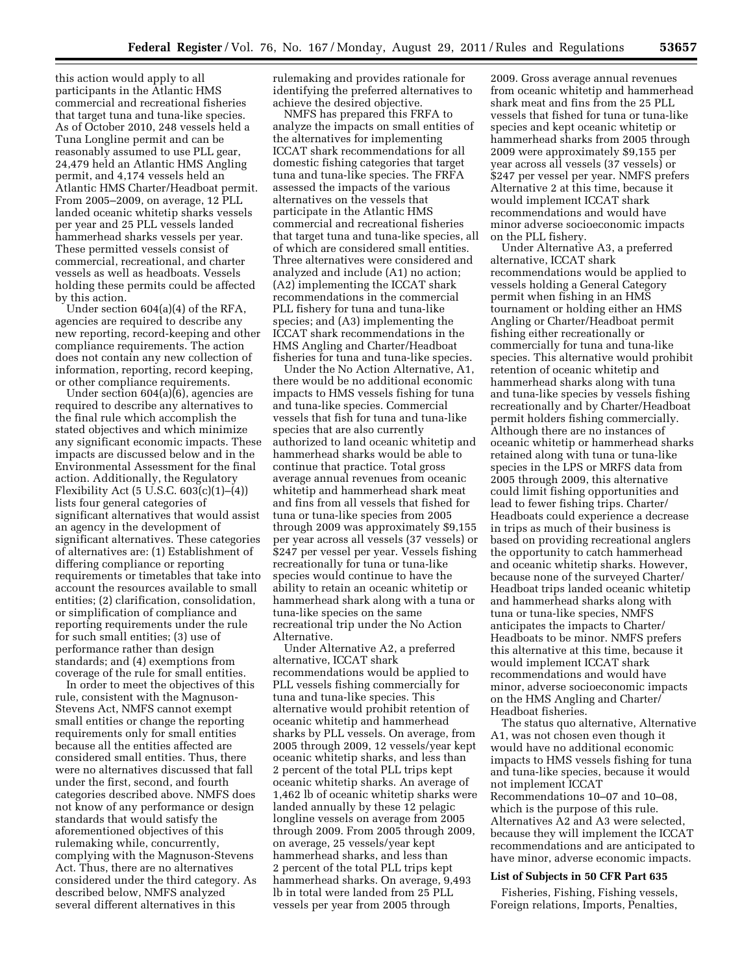this action would apply to all participants in the Atlantic HMS commercial and recreational fisheries that target tuna and tuna-like species. As of October 2010, 248 vessels held a Tuna Longline permit and can be reasonably assumed to use PLL gear, 24,479 held an Atlantic HMS Angling permit, and 4,174 vessels held an Atlantic HMS Charter/Headboat permit. From 2005–2009, on average, 12 PLL landed oceanic whitetip sharks vessels per year and 25 PLL vessels landed hammerhead sharks vessels per year. These permitted vessels consist of commercial, recreational, and charter vessels as well as headboats. Vessels holding these permits could be affected by this action.

Under section 604(a)(4) of the RFA, agencies are required to describe any new reporting, record-keeping and other compliance requirements. The action does not contain any new collection of information, reporting, record keeping, or other compliance requirements.

Under section 604(a)(6), agencies are required to describe any alternatives to the final rule which accomplish the stated objectives and which minimize any significant economic impacts. These impacts are discussed below and in the Environmental Assessment for the final action. Additionally, the Regulatory Flexibility Act (5 U.S.C.  $603(c)(1)–(4)$ ) lists four general categories of significant alternatives that would assist an agency in the development of significant alternatives. These categories of alternatives are: (1) Establishment of differing compliance or reporting requirements or timetables that take into account the resources available to small entities; (2) clarification, consolidation, or simplification of compliance and reporting requirements under the rule for such small entities; (3) use of performance rather than design standards; and (4) exemptions from coverage of the rule for small entities.

In order to meet the objectives of this rule, consistent with the Magnuson-Stevens Act, NMFS cannot exempt small entities or change the reporting requirements only for small entities because all the entities affected are considered small entities. Thus, there were no alternatives discussed that fall under the first, second, and fourth categories described above. NMFS does not know of any performance or design standards that would satisfy the aforementioned objectives of this rulemaking while, concurrently, complying with the Magnuson-Stevens Act. Thus, there are no alternatives considered under the third category. As described below, NMFS analyzed several different alternatives in this

rulemaking and provides rationale for identifying the preferred alternatives to achieve the desired objective.

NMFS has prepared this FRFA to analyze the impacts on small entities of the alternatives for implementing ICCAT shark recommendations for all domestic fishing categories that target tuna and tuna-like species. The FRFA assessed the impacts of the various alternatives on the vessels that participate in the Atlantic HMS commercial and recreational fisheries that target tuna and tuna-like species, all of which are considered small entities. Three alternatives were considered and analyzed and include (A1) no action; (A2) implementing the ICCAT shark recommendations in the commercial PLL fishery for tuna and tuna-like species; and (A3) implementing the ICCAT shark recommendations in the HMS Angling and Charter/Headboat fisheries for tuna and tuna-like species.

Under the No Action Alternative, A1, there would be no additional economic impacts to HMS vessels fishing for tuna and tuna-like species. Commercial vessels that fish for tuna and tuna-like species that are also currently authorized to land oceanic whitetip and hammerhead sharks would be able to continue that practice. Total gross average annual revenues from oceanic whitetip and hammerhead shark meat and fins from all vessels that fished for tuna or tuna-like species from 2005 through 2009 was approximately \$9,155 per year across all vessels (37 vessels) or \$247 per vessel per year. Vessels fishing recreationally for tuna or tuna-like species would continue to have the ability to retain an oceanic whitetip or hammerhead shark along with a tuna or tuna-like species on the same recreational trip under the No Action Alternative.

Under Alternative A2, a preferred alternative, ICCAT shark recommendations would be applied to PLL vessels fishing commercially for tuna and tuna-like species. This alternative would prohibit retention of oceanic whitetip and hammerhead sharks by PLL vessels. On average, from 2005 through 2009, 12 vessels/year kept oceanic whitetip sharks, and less than 2 percent of the total PLL trips kept oceanic whitetip sharks. An average of 1,462 lb of oceanic whitetip sharks were landed annually by these 12 pelagic longline vessels on average from 2005 through 2009. From 2005 through 2009, on average, 25 vessels/year kept hammerhead sharks, and less than 2 percent of the total PLL trips kept hammerhead sharks. On average, 9,493 lb in total were landed from 25 PLL vessels per year from 2005 through

2009. Gross average annual revenues from oceanic whitetip and hammerhead shark meat and fins from the 25 PLL vessels that fished for tuna or tuna-like species and kept oceanic whitetip or hammerhead sharks from 2005 through 2009 were approximately \$9,155 per year across all vessels (37 vessels) or \$247 per vessel per year. NMFS prefers Alternative 2 at this time, because it would implement ICCAT shark recommendations and would have minor adverse socioeconomic impacts on the PLL fishery.

Under Alternative A3, a preferred alternative, ICCAT shark recommendations would be applied to vessels holding a General Category permit when fishing in an HMS tournament or holding either an HMS Angling or Charter/Headboat permit fishing either recreationally or commercially for tuna and tuna-like species. This alternative would prohibit retention of oceanic whitetip and hammerhead sharks along with tuna and tuna-like species by vessels fishing recreationally and by Charter/Headboat permit holders fishing commercially. Although there are no instances of oceanic whitetip or hammerhead sharks retained along with tuna or tuna-like species in the LPS or MRFS data from 2005 through 2009, this alternative could limit fishing opportunities and lead to fewer fishing trips. Charter/ Headboats could experience a decrease in trips as much of their business is based on providing recreational anglers the opportunity to catch hammerhead and oceanic whitetip sharks. However, because none of the surveyed Charter/ Headboat trips landed oceanic whitetip and hammerhead sharks along with tuna or tuna-like species, NMFS anticipates the impacts to Charter/ Headboats to be minor. NMFS prefers this alternative at this time, because it would implement ICCAT shark recommendations and would have minor, adverse socioeconomic impacts on the HMS Angling and Charter/ Headboat fisheries.

The status quo alternative, Alternative A1, was not chosen even though it would have no additional economic impacts to HMS vessels fishing for tuna and tuna-like species, because it would not implement ICCAT Recommendations 10–07 and 10–08, which is the purpose of this rule. Alternatives A2 and A3 were selected, because they will implement the ICCAT recommendations and are anticipated to have minor, adverse economic impacts.

### **List of Subjects in 50 CFR Part 635**

Fisheries, Fishing, Fishing vessels, Foreign relations, Imports, Penalties,